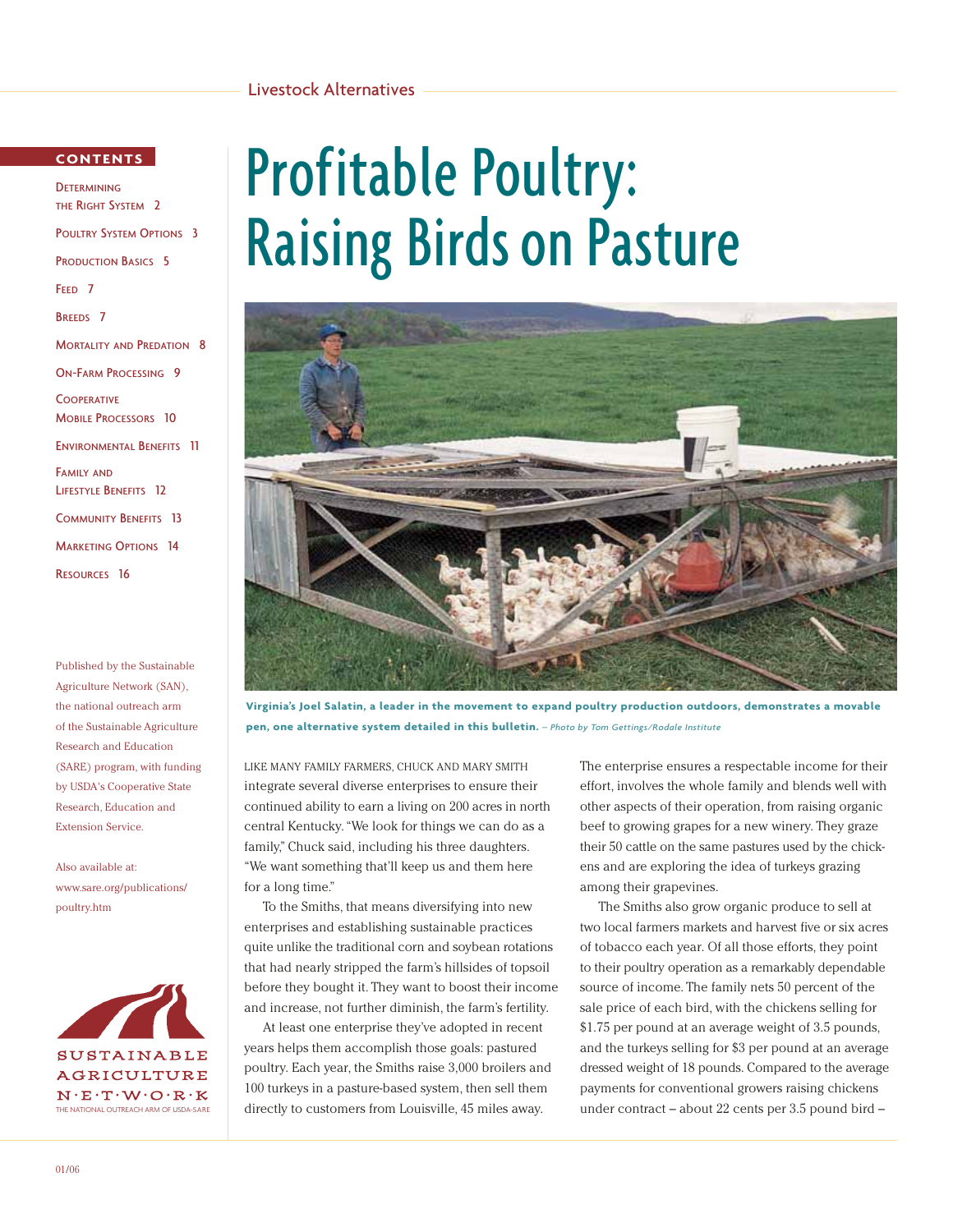#### Livestock Alternatives

#### **CONTENTS**

**DETERMINING** THE RIGHT SYSTEM 2 POULTRY SYSTEM OPTIONS 3 PRODUCTION BASICS 5 FEED 7 BREEDS 7 **MORTALITY AND PREDATION 8** ON-FARM PROCESSING 9 **COOPERATIVE** MOBILE PROCESSORS 10 ENVIRONMENTAL BENEFITS 11 FAMILY AND LIFESTYLE BENEFITS 12 COMMUNITY BENEFITS 13 **MARKETING OPTIONS 14** RESOURCES 16

Published by the Sustainable Agriculture Network (SAN), the national outreach arm of the Sustainable Agriculture Research and Education (SARE) program, with funding by USDA's Cooperative State Research, Education and Extension Service.

Also available at: www.sare.org/publications/ poultry.htm



# Profitable Poultry: Raising Birds on Pasture



**Virginia's Joel Salatin, a leader in the movement to expand poultry production outdoors, demonstrates a movable pen, one alternative system detailed in this bulletin.** *– Photo by Tom Gettings/Rodale Institute*

LIKE MANY FAMILY FARMERS, CHUCK AND MARY SMITH integrate several diverse enterprises to ensure their continued ability to earn a living on 200 acres in north central Kentucky. "We look for things we can do as a family," Chuck said, including his three daughters. "We want something that'll keep us and them here for a long time."

To the Smiths, that means diversifying into new enterprises and establishing sustainable practices quite unlike the traditional corn and soybean rotations that had nearly stripped the farm's hillsides of topsoil before they bought it. They want to boost their income and increase, not further diminish, the farm's fertility.

At least one enterprise they've adopted in recent years helps them accomplish those goals: pastured poultry. Each year, the Smiths raise 3,000 broilers and 100 turkeys in a pasture-based system, then sell them directly to customers from Louisville, 45 miles away.

The enterprise ensures a respectable income for their effort, involves the whole family and blends well with other aspects of their operation, from raising organic beef to growing grapes for a new winery. They graze their 50 cattle on the same pastures used by the chickens and are exploring the idea of turkeys grazing among their grapevines.

The Smiths also grow organic produce to sell at two local farmers markets and harvest five or six acres of tobacco each year. Of all those efforts, they point to their poultry operation as a remarkably dependable source of income. The family nets 50 percent of the sale price of each bird, with the chickens selling for \$1.75 per pound at an average weight of 3.5 pounds, and the turkeys selling for \$3 per pound at an average dressed weight of 18 pounds. Compared to the average payments for conventional growers raising chickens under contract – about 22 cents per 3.5 pound bird –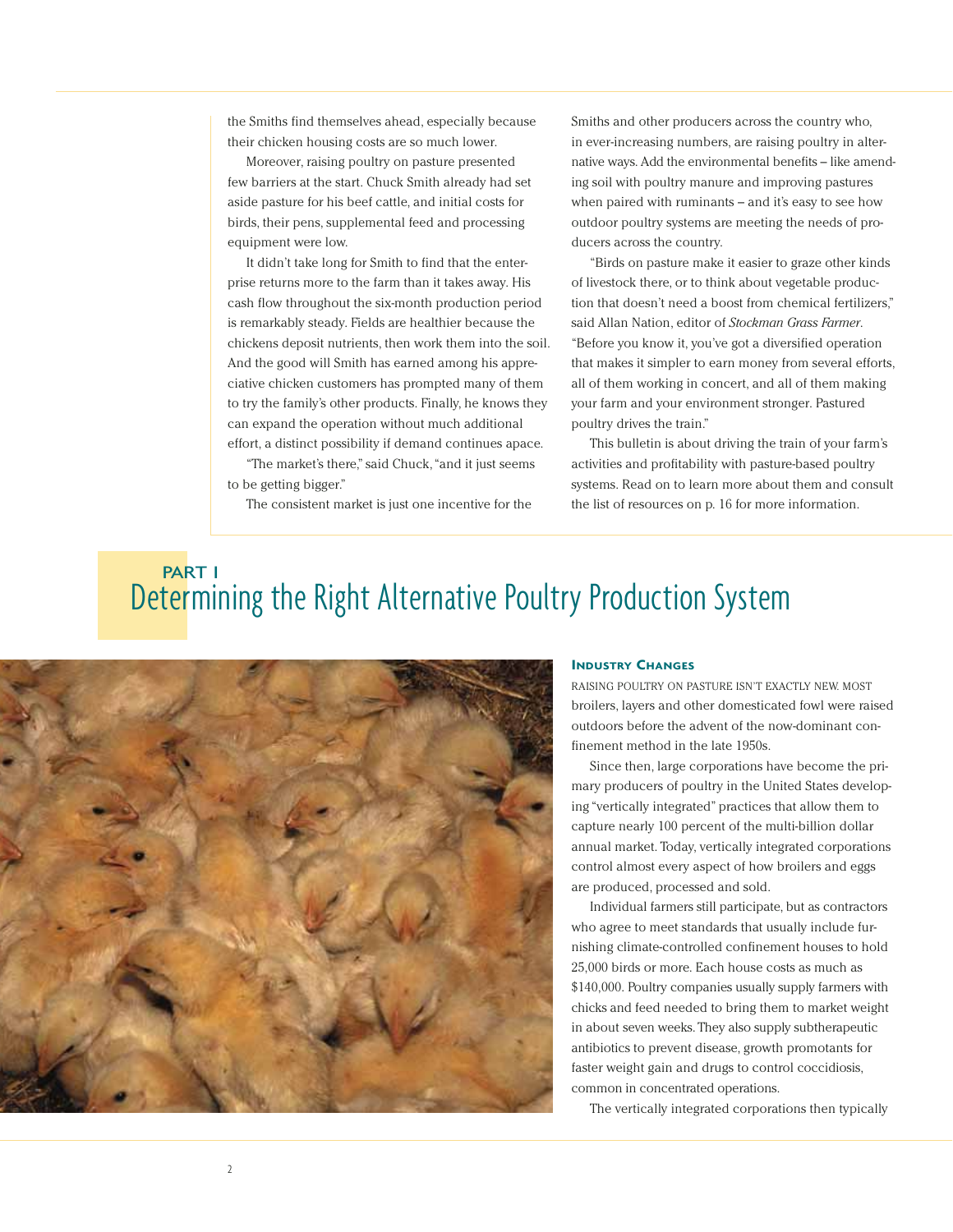the Smiths find themselves ahead, especially because their chicken housing costs are so much lower.

Moreover, raising poultry on pasture presented few barriers at the start. Chuck Smith already had set aside pasture for his beef cattle, and initial costs for birds, their pens, supplemental feed and processing equipment were low.

It didn't take long for Smith to find that the enterprise returns more to the farm than it takes away. His cash flow throughout the six-month production period is remarkably steady. Fields are healthier because the chickens deposit nutrients, then work them into the soil. And the good will Smith has earned among his appreciative chicken customers has prompted many of them to try the family's other products. Finally, he knows they can expand the operation without much additional effort, a distinct possibility if demand continues apace.

"The market's there," said Chuck,"and it just seems to be getting bigger."

The consistent market is just one incentive for the

Smiths and other producers across the country who, in ever-increasing numbers, are raising poultry in alternative ways. Add the environmental benefits – like amending soil with poultry manure and improving pastures when paired with ruminants – and it's easy to see how outdoor poultry systems are meeting the needs of producers across the country.

"Birds on pasture make it easier to graze other kinds of livestock there, or to think about vegetable production that doesn't need a boost from chemical fertilizers," said Allan Nation, editor of *Stockman Grass Farmer*. "Before you know it, you've got a diversified operation that makes it simpler to earn money from several efforts, all of them working in concert, and all of them making your farm and your environment stronger. Pastured poultry drives the train."

This bulletin is about driving the train of your farm's activities and profitability with pasture-based poultry systems. Read on to learn more about them and consult the list of resources on p. 16 for more information.

## Determining the Right Alternative Poultry Production System PART I



#### **INDUSTRY CHANGES**

RAISING POULTRY ON PASTURE ISN'T EXACTLY NEW. MOST broilers, layers and other domesticated fowl were raised outdoors before the advent of the now-dominant confinement method in the late 1950s.

Since then, large corporations have become the primary producers of poultry in the United States developing "vertically integrated" practices that allow them to capture nearly 100 percent of the multi-billion dollar annual market. Today, vertically integrated corporations control almost every aspect of how broilers and eggs are produced, processed and sold.

Individual farmers still participate, but as contractors who agree to meet standards that usually include furnishing climate-controlled confinement houses to hold 25,000 birds or more. Each house costs as much as \$140,000. Poultry companies usually supply farmers with chicks and feed needed to bring them to market weight in about seven weeks. They also supply subtherapeutic antibiotics to prevent disease, growth promotants for faster weight gain and drugs to control coccidiosis, common in concentrated operations.

The vertically integrated corporations then typically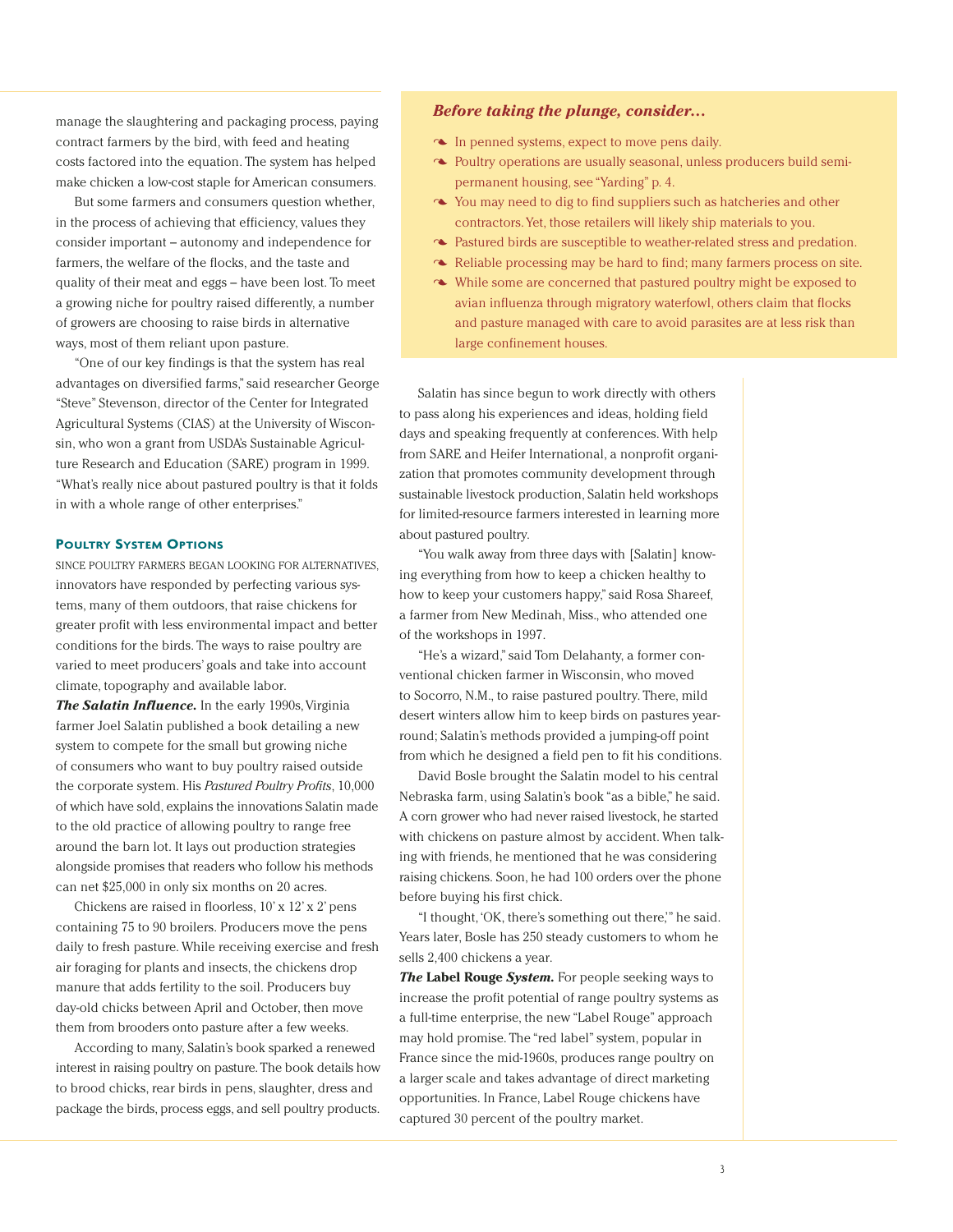manage the slaughtering and packaging process, paying contract farmers by the bird, with feed and heating costs factored into the equation. The system has helped make chicken a low-cost staple for American consumers.

But some farmers and consumers question whether, in the process of achieving that efficiency, values they consider important – autonomy and independence for farmers, the welfare of the flocks, and the taste and quality of their meat and eggs – have been lost. To meet a growing niche for poultry raised differently, a number of growers are choosing to raise birds in alternative ways, most of them reliant upon pasture.

"One of our key findings is that the system has real advantages on diversified farms," said researcher George "Steve" Stevenson, director of the Center for Integrated Agricultural Systems (CIAS) at the University of Wisconsin, who won a grant from USDA's Sustainable Agriculture Research and Education (SARE) program in 1999. "What's really nice about pastured poultry is that it folds in with a whole range of other enterprises."

#### **POULTRY SYSTEM OPTIONS**

SINCE POULTRY FARMERS BEGAN LOOKING FOR ALTERNATIVES, innovators have responded by perfecting various systems, many of them outdoors, that raise chickens for greater profit with less environmental impact and better conditions for the birds. The ways to raise poultry are varied to meet producers' goals and take into account climate, topography and available labor.

*The Salatin Influence.* In the early 1990s, Virginia farmer Joel Salatin published a book detailing a new system to compete for the small but growing niche of consumers who want to buy poultry raised outside the corporate system. His *Pastured Poultry Profits*, 10,000 of which have sold, explains the innovations Salatin made to the old practice of allowing poultry to range free around the barn lot. It lays out production strategies alongside promises that readers who follow his methods can net \$25,000 in only six months on 20 acres.

Chickens are raised in floorless, 10' x 12' x 2' pens containing 75 to 90 broilers. Producers move the pens daily to fresh pasture. While receiving exercise and fresh air foraging for plants and insects, the chickens drop manure that adds fertility to the soil. Producers buy day-old chicks between April and October, then move them from brooders onto pasture after a few weeks.

According to many, Salatin's book sparked a renewed interest in raising poultry on pasture. The book details how to brood chicks, rear birds in pens, slaughter, dress and package the birds, process eggs, and sell poultry products.

#### *Before taking the plunge, consider...*

- In penned systems, expect to move pens daily.
- Poultry operations are usually seasonal, unless producers build semipermanent housing, see "Yarding" p. 4.
- You may need to dig to find suppliers such as hatcheries and other contractors. Yet, those retailers will likely ship materials to you.
- Pastured birds are susceptible to weather-related stress and predation.
- $\sim$  Reliable processing may be hard to find; many farmers process on site.
- While some are concerned that pastured poultry might be exposed to avian influenza through migratory waterfowl, others claim that flocks and pasture managed with care to avoid parasites are at less risk than large confinement houses.

Salatin has since begun to work directly with others to pass along his experiences and ideas, holding field days and speaking frequently at conferences. With help from SARE and Heifer International, a nonprofit organization that promotes community development through sustainable livestock production, Salatin held workshops for limited-resource farmers interested in learning more about pastured poultry.

"You walk away from three days with [Salatin] knowing everything from how to keep a chicken healthy to how to keep your customers happy," said Rosa Shareef, a farmer from New Medinah, Miss., who attended one of the workshops in 1997.

"He's a wizard," said Tom Delahanty, a former conventional chicken farmer in Wisconsin, who moved to Socorro, N.M., to raise pastured poultry. There, mild desert winters allow him to keep birds on pastures yearround; Salatin's methods provided a jumping-off point from which he designed a field pen to fit his conditions.

David Bosle brought the Salatin model to his central Nebraska farm, using Salatin's book "as a bible," he said. A corn grower who had never raised livestock, he started with chickens on pasture almost by accident. When talking with friends, he mentioned that he was considering raising chickens. Soon, he had 100 orders over the phone before buying his first chick.

"I thought,'OK, there's something out there,'" he said. Years later, Bosle has 250 steady customers to whom he sells 2,400 chickens a year.

*The* **Label Rouge** *System.* For people seeking ways to increase the profit potential of range poultry systems as a full-time enterprise, the new "Label Rouge" approach may hold promise. The "red label" system, popular in France since the mid-1960s, produces range poultry on a larger scale and takes advantage of direct marketing opportunities. In France, Label Rouge chickens have captured 30 percent of the poultry market.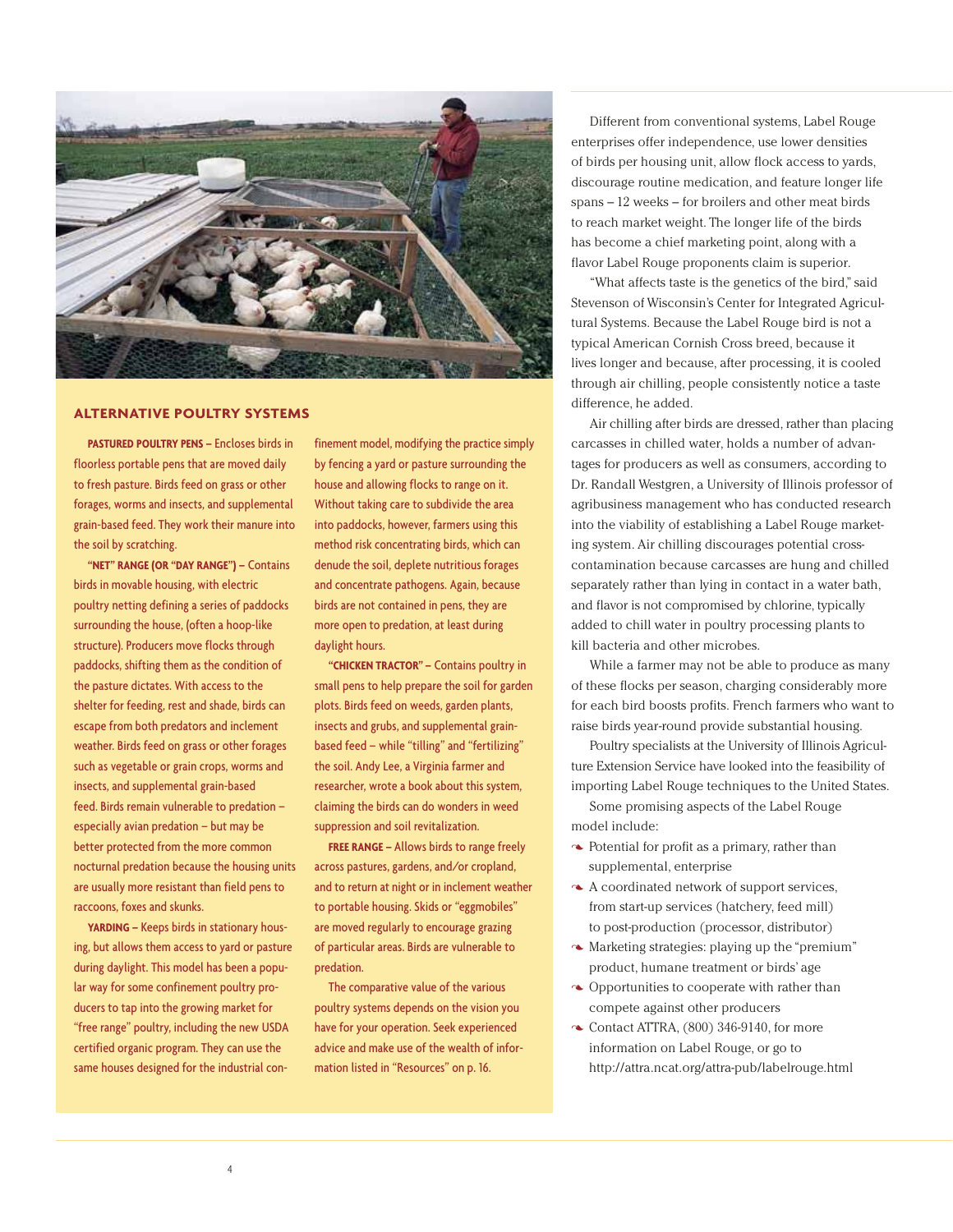

#### **ALTERNATIVE POULTRY SYSTEMS**

**PASTURED POULTRY PENS –** Encloses birds in floorless portable pens that are moved daily to fresh pasture. Birds feed on grass or other forages, worms and insects, and supplemental grain-based feed. They work their manure into the soil by scratching.

**"NET" RANGE (OR "DAY RANGE") –** Contains birds in movable housing, with electric poultry netting defining a series of paddocks surrounding the house, (often a hoop-like structure). Producers move flocks through paddocks, shifting them as the condition of the pasture dictates. With access to the shelter for feeding, rest and shade, birds can escape from both predators and inclement weather. Birds feed on grass or other forages such as vegetable or grain crops, worms and insects, and supplemental grain-based feed. Birds remain vulnerable to predation – especially avian predation – but may be better protected from the more common nocturnal predation because the housing units are usually more resistant than field pens to raccoons, foxes and skunks.

**YARDING –** Keeps birds in stationary housing, but allows them access to yard or pasture during daylight. This model has been a popular way for some confinement poultry producers to tap into the growing market for "free range" poultry, including the new USDA certified organic program. They can use the same houses designed for the industrial confinement model, modifying the practice simply by fencing a yard or pasture surrounding the house and allowing flocks to range on it. Without taking care to subdivide the area into paddocks, however, farmers using this method risk concentrating birds, which can denude the soil, deplete nutritious forages and concentrate pathogens. Again, because birds are not contained in pens, they are more open to predation, at least during daylight hours.

**"CHICKEN TRACTOR" –** Contains poultry in small pens to help prepare the soil for garden plots. Birds feed on weeds, garden plants, insects and grubs, and supplemental grainbased feed – while "tilling" and "fertilizing" the soil. Andy Lee, a Virginia farmer and researcher, wrote a book about this system, claiming the birds can do wonders in weed suppression and soil revitalization.

**FREE RANGE –** Allows birds to range freely across pastures, gardens, and/or cropland, and to return at night or in inclement weather to portable housing. Skids or "eggmobiles" are moved regularly to encourage grazing of particular areas. Birds are vulnerable to predation.

The comparative value of the various poultry systems depends on the vision you have for your operation. Seek experienced advice and make use of the wealth of information listed in "Resources" on p. 16.

Different from conventional systems, Label Rouge enterprises offer independence, use lower densities of birds per housing unit, allow flock access to yards, discourage routine medication, and feature longer life spans – 12 weeks – for broilers and other meat birds to reach market weight. The longer life of the birds has become a chief marketing point, along with a flavor Label Rouge proponents claim is superior.

"What affects taste is the genetics of the bird," said Stevenson of Wisconsin's Center for Integrated Agricultural Systems. Because the Label Rouge bird is not a typical American Cornish Cross breed, because it lives longer and because, after processing, it is cooled through air chilling, people consistently notice a taste difference, he added.

Air chilling after birds are dressed, rather than placing carcasses in chilled water, holds a number of advantages for producers as well as consumers, according to Dr. Randall Westgren, a University of Illinois professor of agribusiness management who has conducted research into the viability of establishing a Label Rouge marketing system. Air chilling discourages potential crosscontamination because carcasses are hung and chilled separately rather than lying in contact in a water bath, and flavor is not compromised by chlorine, typically added to chill water in poultry processing plants to kill bacteria and other microbes.

While a farmer may not be able to produce as many of these flocks per season, charging considerably more for each bird boosts profits. French farmers who want to raise birds year-round provide substantial housing.

Poultry specialists at the University of Illinois Agriculture Extension Service have looked into the feasibility of importing Label Rouge techniques to the United States.

Some promising aspects of the Label Rouge model include:

- Potential for profit as a primary, rather than supplemental, enterprise
- A coordinated network of support services, from start-up services (hatchery, feed mill) to post-production (processor, distributor)
- $\sim$  Marketing strategies: playing up the "premium" product, humane treatment or birds' age
- $\sim$  Opportunities to cooperate with rather than compete against other producers
- $\sim$  Contact ATTRA, (800) 346-9140, for more information on Label Rouge, or go to http://attra.ncat.org/attra-pub/labelrouge.html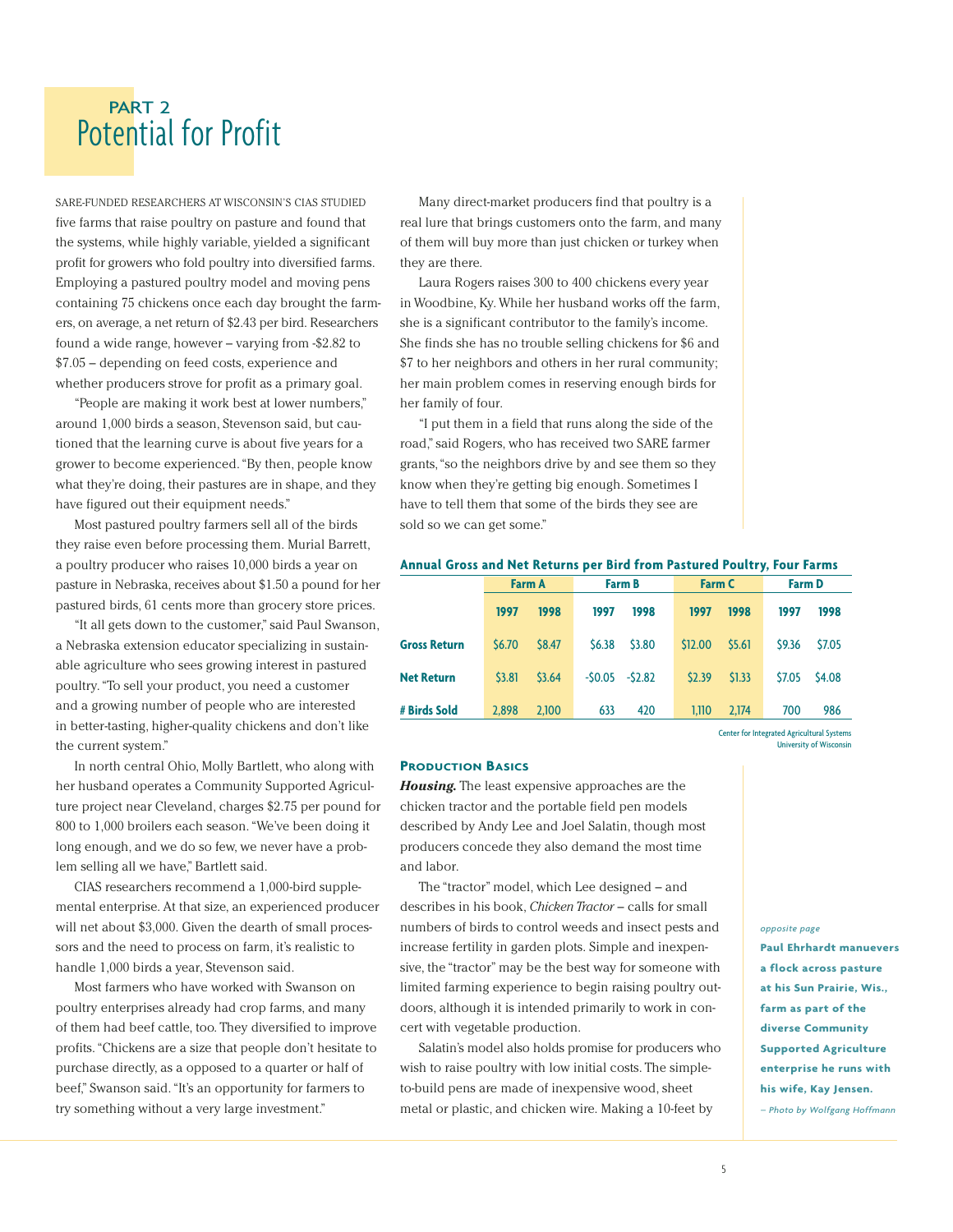## Potential for Profit PART 2

SARE-FUNDED RESEARCHERS AT WISCONSIN'S CIAS STUDIED five farms that raise poultry on pasture and found that the systems, while highly variable, yielded a significant profit for growers who fold poultry into diversified farms. Employing a pastured poultry model and moving pens containing 75 chickens once each day brought the farmers, on average, a net return of \$2.43 per bird. Researchers found a wide range, however – varying from -\$2.82 to \$7.05 – depending on feed costs, experience and whether producers strove for profit as a primary goal.

"People are making it work best at lower numbers," around 1,000 birds a season, Stevenson said, but cautioned that the learning curve is about five years for a grower to become experienced. "By then, people know what they're doing, their pastures are in shape, and they have figured out their equipment needs."

Most pastured poultry farmers sell all of the birds they raise even before processing them. Murial Barrett, a poultry producer who raises 10,000 birds a year on pasture in Nebraska, receives about \$1.50 a pound for her pastured birds, 61 cents more than grocery store prices.

"It all gets down to the customer," said Paul Swanson, a Nebraska extension educator specializing in sustainable agriculture who sees growing interest in pastured poultry. "To sell your product, you need a customer and a growing number of people who are interested in better-tasting, higher-quality chickens and don't like the current system."

In north central Ohio, Molly Bartlett, who along with her husband operates a Community Supported Agriculture project near Cleveland, charges \$2.75 per pound for 800 to 1,000 broilers each season. "We've been doing it long enough, and we do so few, we never have a problem selling all we have," Bartlett said.

CIAS researchers recommend a 1,000-bird supplemental enterprise. At that size, an experienced producer will net about \$3,000. Given the dearth of small processors and the need to process on farm, it's realistic to handle 1,000 birds a year, Stevenson said.

Most farmers who have worked with Swanson on poultry enterprises already had crop farms, and many of them had beef cattle, too. They diversified to improve profits. "Chickens are a size that people don't hesitate to purchase directly, as a opposed to a quarter or half of beef," Swanson said. "It's an opportunity for farmers to try something without a very large investment."

Many direct-market producers find that poultry is a real lure that brings customers onto the farm, and many of them will buy more than just chicken or turkey when they are there.

Laura Rogers raises 300 to 400 chickens every year in Woodbine, Ky. While her husband works off the farm, she is a significant contributor to the family's income. She finds she has no trouble selling chickens for \$6 and \$7 to her neighbors and others in her rural community; her main problem comes in reserving enough birds for her family of four.

"I put them in a field that runs along the side of the road," said Rogers, who has received two SARE farmer grants,"so the neighbors drive by and see them so they know when they're getting big enough. Sometimes I have to tell them that some of the birds they see are sold so we can get some."

#### **Annual Gross and Net Returns per Bird from Pastured Poultry, Four Farms**

|                     | <b>Farm A</b> |        | <b>Farm B</b>   |        | <b>Farm C</b> |        | <b>Farm D</b> |        |
|---------------------|---------------|--------|-----------------|--------|---------------|--------|---------------|--------|
|                     | 1997          | 1998   | 1997            | 1998   | 1997          | 1998   | 1997          | 1998   |
| <b>Gross Return</b> | \$6.70        | \$8.47 | \$6.38          | \$3.80 | \$12.00       | \$5.61 | \$9.36        | \$7.05 |
| <b>Net Return</b>   | \$3.81        | \$3.64 | $-50.05 -52.82$ |        | 52.39         | \$1.33 | \$7.05        | \$4.08 |
| # Birds Sold        | 2.898         | 2.100  | 633             | 420    | 1.110         | 2.174  | 700           | 986    |

Center for Integrated Agricultural Systems University of Wisconsin

#### **PRODUCTION BASICS**

*Housing.* The least expensive approaches are the chicken tractor and the portable field pen models described by Andy Lee and Joel Salatin, though most producers concede they also demand the most time and labor.

The "tractor" model, which Lee designed – and describes in his book, *Chicken Tractor* – calls for small numbers of birds to control weeds and insect pests and increase fertility in garden plots. Simple and inexpensive, the "tractor" may be the best way for someone with limited farming experience to begin raising poultry outdoors, although it is intended primarily to work in concert with vegetable production.

Salatin's model also holds promise for producers who wish to raise poultry with low initial costs. The simpleto-build pens are made of inexpensive wood, sheet metal or plastic, and chicken wire. Making a 10-feet by

*opposite page*

**Paul Ehrhardt manuevers a flock across pasture at his Sun Prairie, Wis., farm as part of the diverse Community Supported Agriculture enterprise he runs with his wife, Kay Jensen.**  *– Photo by Wolfgang Hoffmann*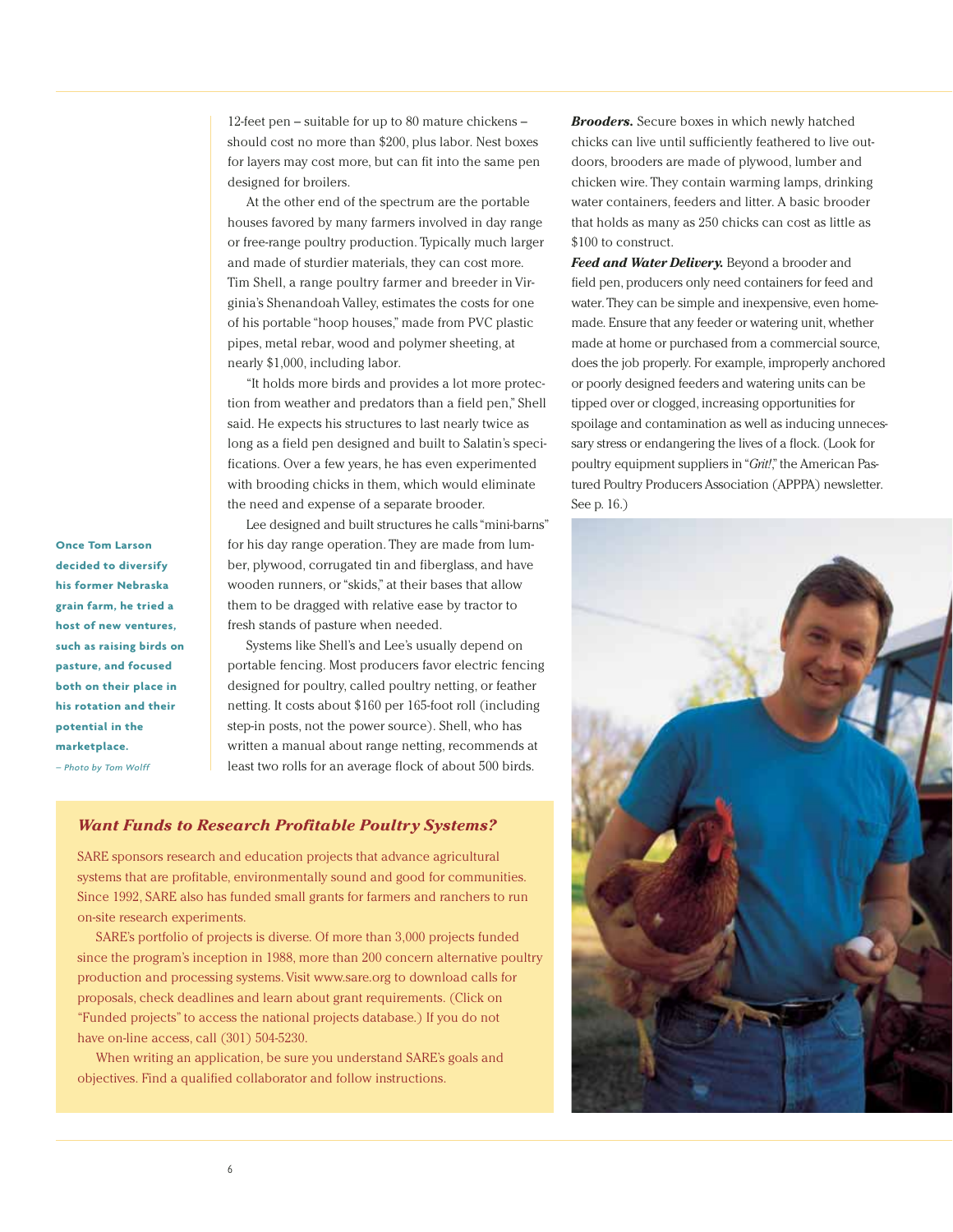12-feet pen – suitable for up to 80 mature chickens – should cost no more than \$200, plus labor. Nest boxes for layers may cost more, but can fit into the same pen designed for broilers.

At the other end of the spectrum are the portable houses favored by many farmers involved in day range or free-range poultry production. Typically much larger and made of sturdier materials, they can cost more. Tim Shell, a range poultry farmer and breeder in Virginia's Shenandoah Valley, estimates the costs for one of his portable "hoop houses," made from PVC plastic pipes, metal rebar, wood and polymer sheeting, at nearly \$1,000, including labor.

"It holds more birds and provides a lot more protection from weather and predators than a field pen," Shell said. He expects his structures to last nearly twice as long as a field pen designed and built to Salatin's specifications. Over a few years, he has even experimented with brooding chicks in them, which would eliminate the need and expense of a separate brooder.

Lee designed and built structures he calls "mini-barns" for his day range operation. They are made from lumber, plywood, corrugated tin and fiberglass, and have wooden runners, or "skids," at their bases that allow them to be dragged with relative ease by tractor to fresh stands of pasture when needed.

Systems like Shell's and Lee's usually depend on portable fencing. Most producers favor electric fencing designed for poultry, called poultry netting, or feather netting. It costs about \$160 per 165-foot roll (including step-in posts, not the power source). Shell, who has written a manual about range netting, recommends at least two rolls for an average flock of about 500 birds.

#### *Want Funds to Research Profitable Poultry Systems?*

SARE sponsors research and education projects that advance agricultural systems that are profitable, environmentally sound and good for communities. Since 1992, SARE also has funded small grants for farmers and ranchers to run on-site research experiments.

SARE's portfolio of projects is diverse. Of more than 3,000 projects funded since the program's inception in 1988, more than 200 concern alternative poultry production and processing systems. Visit www.sare.org to download calls for proposals, check deadlines and learn about grant requirements. (Click on "Funded projects" to access the national projects database.) If you do not have on-line access, call (301) 504-5230.

When writing an application, be sure you understand SARE's goals and objectives. Find a qualified collaborator and follow instructions.

*Brooders.* Secure boxes in which newly hatched chicks can live until sufficiently feathered to live outdoors, brooders are made of plywood, lumber and chicken wire. They contain warming lamps, drinking water containers, feeders and litter. A basic brooder that holds as many as 250 chicks can cost as little as \$100 to construct.

*Feed and Water Delivery.* Beyond a brooder and field pen, producers only need containers for feed and water. They can be simple and inexpensive, even homemade. Ensure that any feeder or watering unit, whether made at home or purchased from a commercial source, does the job properly. For example, improperly anchored or poorly designed feeders and watering units can be tipped over or clogged, increasing opportunities for spoilage and contamination as well as inducing unnecessary stress or endangering the lives of a flock. (Look for poultry equipment suppliers in "*Grit!*," the American Pastured Poultry Producers Association (APPPA) newsletter. See p. 16.)



**Once Tom Larson decided to diversify his former Nebraska grain farm, he tried a host of new ventures, such as raising birds on pasture, and focused both on their place in his rotation and their potential in the marketplace.**  *– Photo by Tom Wolff*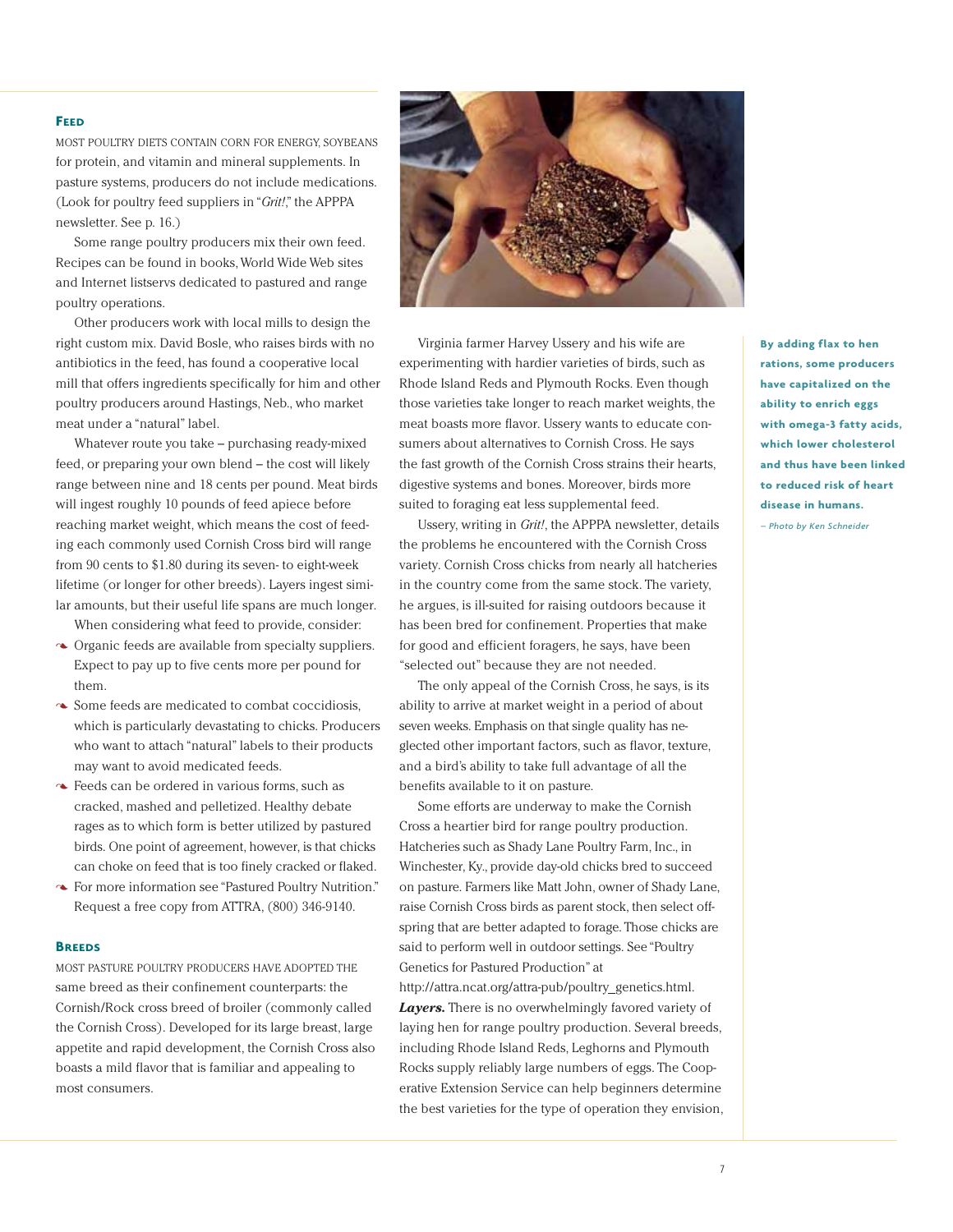#### **FEED**

MOST POULTRY DIETS CONTAIN CORN FOR ENERGY, SOYBEANS for protein, and vitamin and mineral supplements. In pasture systems, producers do not include medications. (Look for poultry feed suppliers in "*Grit!*," the APPPA newsletter. See p. 16.)

Some range poultry producers mix their own feed. Recipes can be found in books, World Wide Web sites and Internet listservs dedicated to pastured and range poultry operations.

Other producers work with local mills to design the right custom mix. David Bosle, who raises birds with no antibiotics in the feed, has found a cooperative local mill that offers ingredients specifically for him and other poultry producers around Hastings, Neb., who market meat under a "natural" label.

Whatever route you take – purchasing ready-mixed feed, or preparing your own blend – the cost will likely range between nine and 18 cents per pound. Meat birds will ingest roughly 10 pounds of feed apiece before reaching market weight, which means the cost of feeding each commonly used Cornish Cross bird will range from 90 cents to \$1.80 during its seven- to eight-week lifetime (or longer for other breeds). Layers ingest similar amounts, but their useful life spans are much longer.

When considering what feed to provide, consider:

- Organic feeds are available from specialty suppliers. Expect to pay up to five cents more per pound for them.
- Some feeds are medicated to combat coccidiosis, which is particularly devastating to chicks. Producers who want to attach "natural" labels to their products may want to avoid medicated feeds.
- Feeds can be ordered in various forms, such as cracked, mashed and pelletized. Healthy debate rages as to which form is better utilized by pastured birds. One point of agreement, however, is that chicks can choke on feed that is too finely cracked or flaked.
- For more information see "Pastured Poultry Nutrition." Request a free copy from ATTRA, (800) 346-9140.

#### **BREEDS**

MOST PASTURE POULTRY PRODUCERS HAVE ADOPTED THE same breed as their confinement counterparts: the Cornish/Rock cross breed of broiler (commonly called the Cornish Cross). Developed for its large breast, large appetite and rapid development, the Cornish Cross also boasts a mild flavor that is familiar and appealing to most consumers.



Virginia farmer Harvey Ussery and his wife are experimenting with hardier varieties of birds, such as Rhode Island Reds and Plymouth Rocks. Even though those varieties take longer to reach market weights, the meat boasts more flavor. Ussery wants to educate consumers about alternatives to Cornish Cross. He says the fast growth of the Cornish Cross strains their hearts, digestive systems and bones. Moreover, birds more suited to foraging eat less supplemental feed.

Ussery, writing in *Grit!*, the APPPA newsletter, details the problems he encountered with the Cornish Cross variety. Cornish Cross chicks from nearly all hatcheries in the country come from the same stock. The variety, he argues, is ill-suited for raising outdoors because it has been bred for confinement. Properties that make for good and efficient foragers, he says, have been "selected out" because they are not needed.

The only appeal of the Cornish Cross, he says, is its ability to arrive at market weight in a period of about seven weeks. Emphasis on that single quality has neglected other important factors, such as flavor, texture, and a bird's ability to take full advantage of all the benefits available to it on pasture.

Some efforts are underway to make the Cornish Cross a heartier bird for range poultry production. Hatcheries such as Shady Lane Poultry Farm, Inc., in Winchester, Ky., provide day-old chicks bred to succeed on pasture. Farmers like Matt John, owner of Shady Lane, raise Cornish Cross birds as parent stock, then select offspring that are better adapted to forage. Those chicks are said to perform well in outdoor settings. See "Poultry Genetics for Pastured Production" at http://attra.ncat.org/attra-pub/poultry genetics.html. *Layers.* There is no overwhelmingly favored variety of laying hen for range poultry production. Several breeds, including Rhode Island Reds, Leghorns and Plymouth Rocks supply reliably large numbers of eggs. The Cooperative Extension Service can help beginners determine the best varieties for the type of operation they envision, **By adding flax to hen rations, some producers have capitalized on the ability to enrich eggs with omega-3 fatty acids, which lower cholesterol and thus have been linked to reduced risk of heart disease in humans.** 

*– Photo by Ken Schneider*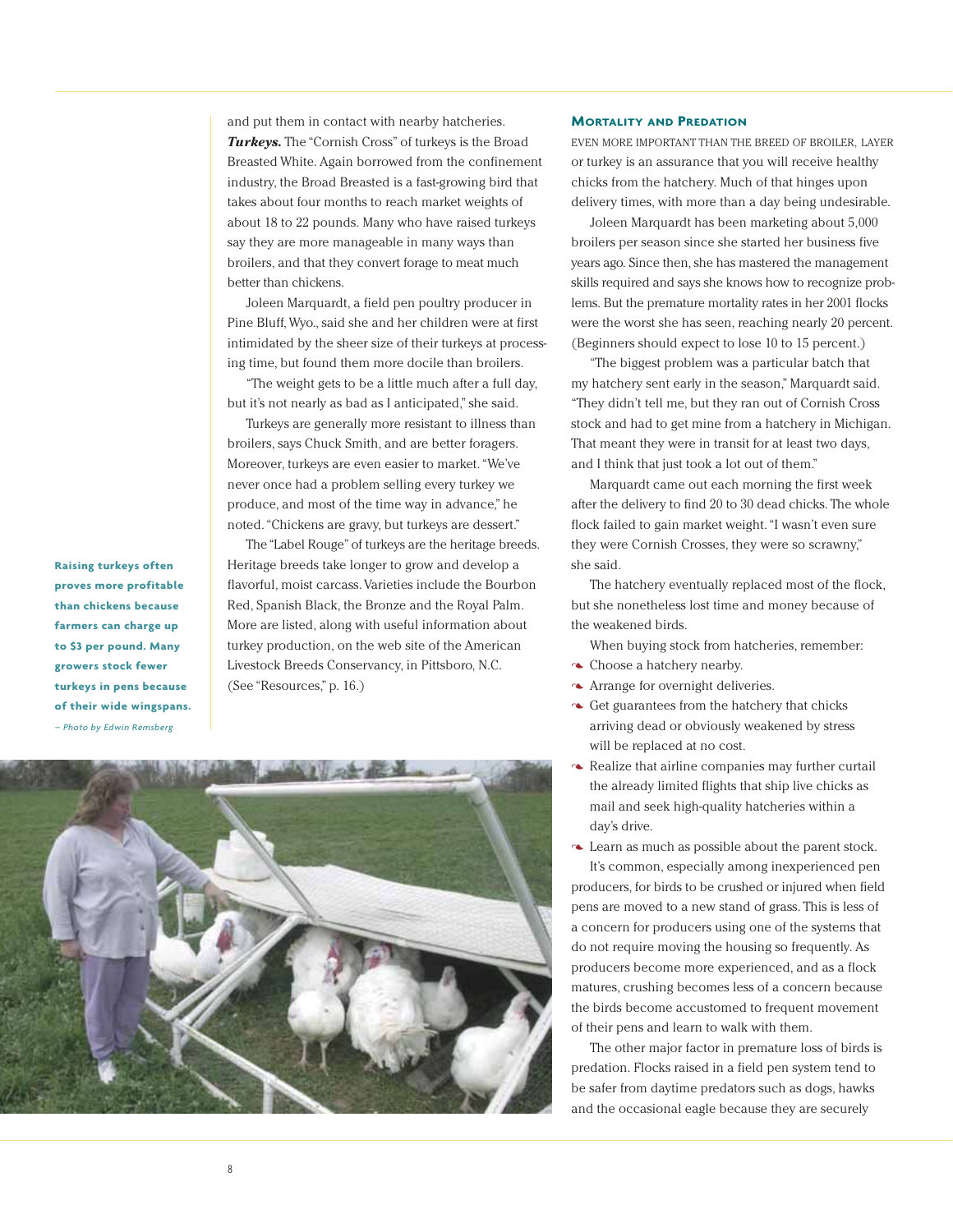and put them in contact with nearby hatcheries. *Turkeys.* The "Cornish Cross" of turkeys is the Broad Breasted White. Again borrowed from the confinement industry, the Broad Breasted is a fast-growing bird that takes about four months to reach market weights of about 18 to 22 pounds. Many who have raised turkeys say they are more manageable in many ways than broilers, and that they convert forage to meat much better than chickens.

Joleen Marquardt, a field pen poultry producer in Pine Bluff, Wyo., said she and her children were at first intimidated by the sheer size of their turkeys at processing time, but found them more docile than broilers.

"The weight gets to be a little much after a full day, but it's not nearly as bad as I anticipated," she said.

Turkeys are generally more resistant to illness than broilers, says Chuck Smith, and are better foragers. Moreover, turkeys are even easier to market. "We've never once had a problem selling every turkey we produce, and most of the time way in advance," he noted. "Chickens are gravy, but turkeys are dessert."

The "Label Rouge" of turkeys are the heritage breeds. Heritage breeds take longer to grow and develop a flavorful, moist carcass. Varieties include the Bourbon Red, Spanish Black, the Bronze and the Royal Palm. More are listed, along with useful information about turkey production, on the web site of the American Livestock Breeds Conservancy, in Pittsboro, N.C. (See "Resources," p. 16.)



#### **MORTALITY AND PREDATION**

EVEN MORE IMPORTANT THAN THE BREED OF BROILER, LAYER or turkey is an assurance that you will receive healthy chicks from the hatchery. Much of that hinges upon delivery times, with more than a day being undesirable.

Joleen Marquardt has been marketing about 5,000 broilers per season since she started her business five years ago. Since then, she has mastered the management skills required and says she knows how to recognize problems. But the premature mortality rates in her 2001 flocks were the worst she has seen, reaching nearly 20 percent. (Beginners should expect to lose 10 to 15 percent.)

"The biggest problem was a particular batch that my hatchery sent early in the season," Marquardt said. "They didn't tell me, but they ran out of Cornish Cross stock and had to get mine from a hatchery in Michigan. That meant they were in transit for at least two days, and I think that just took a lot out of them."

Marquardt came out each morning the first week after the delivery to find 20 to 30 dead chicks. The whole flock failed to gain market weight. "I wasn't even sure they were Cornish Crosses, they were so scrawny," she said.

The hatchery eventually replaced most of the flock, but she nonetheless lost time and money because of the weakened birds.

When buying stock from hatcheries, remember:

- $\triangle$  Choose a hatchery nearby.
- Arrange for overnight deliveries.
- Get guarantees from the hatchery that chicks arriving dead or obviously weakened by stress will be replaced at no cost.
- $\sim$  Realize that airline companies may further curtail the already limited flights that ship live chicks as mail and seek high-quality hatcheries within a day's drive.

Learn as much as possible about the parent stock. It's common, especially among inexperienced pen producers, for birds to be crushed or injured when field pens are moved to a new stand of grass. This is less of a concern for producers using one of the systems that do not require moving the housing so frequently. As producers become more experienced, and as a flock matures, crushing becomes less of a concern because the birds become accustomed to frequent movement of their pens and learn to walk with them.

The other major factor in premature loss of birds is predation. Flocks raised in a field pen system tend to be safer from daytime predators such as dogs, hawks and the occasional eagle because they are securely

**Raising turkeys often proves more profitable than chickens because farmers can charge up to \$3 per pound. Many growers stock fewer turkeys in pens because of their wide wingspans.**  *– Photo by Edwin Remsberg*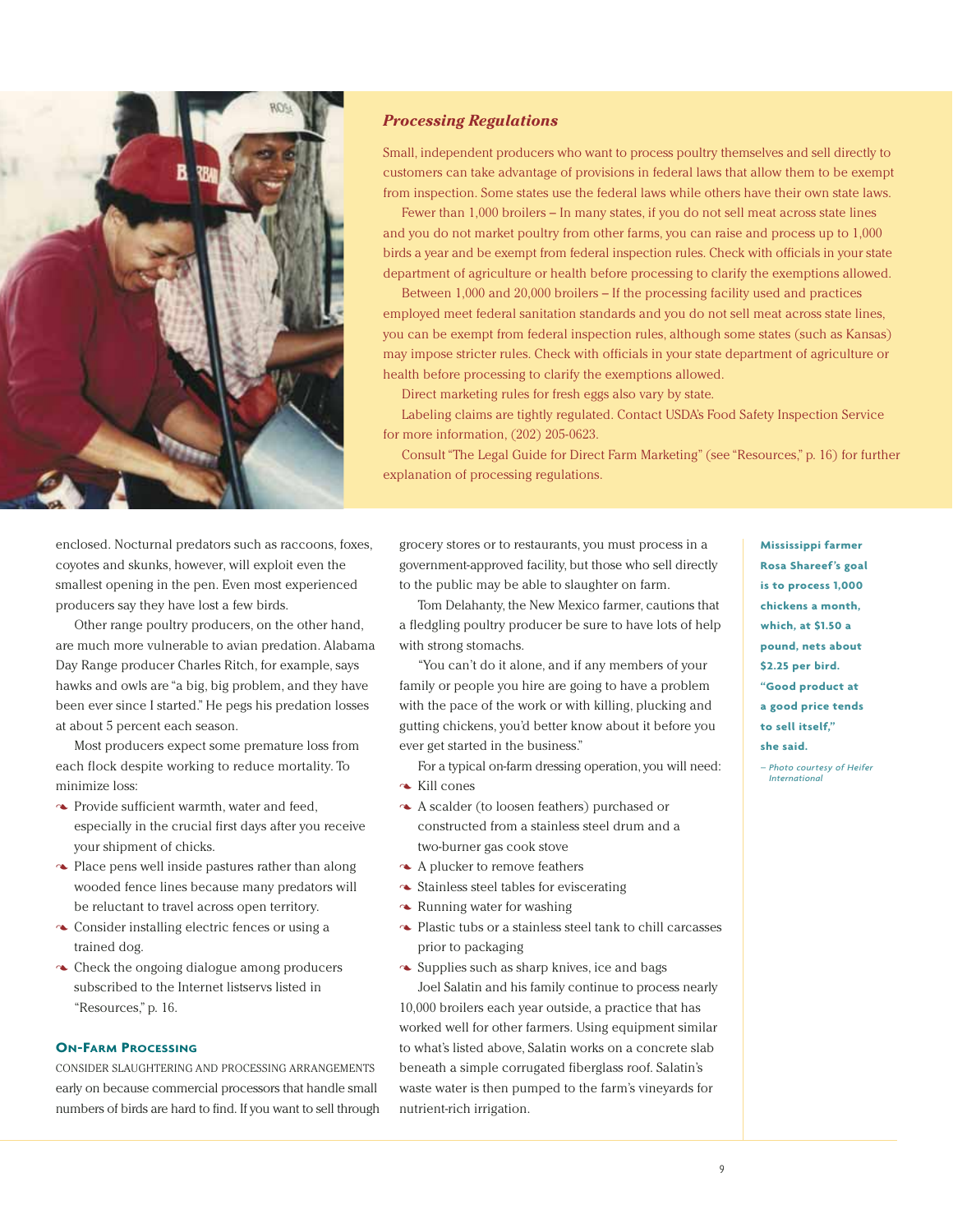

#### *Processing Regulations*

Small, independent producers who want to process poultry themselves and sell directly to customers can take advantage of provisions in federal laws that allow them to be exempt from inspection. Some states use the federal laws while others have their own state laws.

Fewer than 1,000 broilers – In many states, if you do not sell meat across state lines and you do not market poultry from other farms, you can raise and process up to 1,000 birds a year and be exempt from federal inspection rules. Check with officials in your state department of agriculture or health before processing to clarify the exemptions allowed.

Between 1,000 and 20,000 broilers – If the processing facility used and practices employed meet federal sanitation standards and you do not sell meat across state lines, you can be exempt from federal inspection rules, although some states (such as Kansas) may impose stricter rules. Check with officials in your state department of agriculture or health before processing to clarify the exemptions allowed.

Direct marketing rules for fresh eggs also vary by state.

Labeling claims are tightly regulated. Contact USDA's Food Safety Inspection Service for more information, (202) 205-0623.

Consult "The Legal Guide for Direct Farm Marketing" (see "Resources," p. 16) for further explanation of processing regulations.

enclosed. Nocturnal predators such as raccoons, foxes, coyotes and skunks, however, will exploit even the smallest opening in the pen. Even most experienced producers say they have lost a few birds.

Other range poultry producers, on the other hand, are much more vulnerable to avian predation. Alabama Day Range producer Charles Ritch, for example, says hawks and owls are "a big, big problem, and they have been ever since I started." He pegs his predation losses at about 5 percent each season.

Most producers expect some premature loss from each flock despite working to reduce mortality. To minimize loss:

- Provide sufficient warmth, water and feed, especially in the crucial first days after you receive your shipment of chicks.
- $\sim$  Place pens well inside pastures rather than along wooded fence lines because many predators will be reluctant to travel across open territory.
- Consider installing electric fences or using a trained dog.
- $\sim$  Check the ongoing dialogue among producers subscribed to the Internet listservs listed in "Resources," p. 16.

#### **ON-FARM PROCESSING**

CONSIDER SLAUGHTERING AND PROCESSING ARRANGEMENTS early on because commercial processors that handle small numbers of birds are hard to find. If you want to sell through

grocery stores or to restaurants, you must process in a government-approved facility, but those who sell directly to the public may be able to slaughter on farm.

Tom Delahanty, the New Mexico farmer, cautions that a fledgling poultry producer be sure to have lots of help with strong stomachs.

"You can't do it alone, and if any members of your family or people you hire are going to have a problem with the pace of the work or with killing, plucking and gutting chickens, you'd better know about it before you ever get started in the business."

For a typical on-farm dressing operation, you will need: Kill cones

- A scalder (to loosen feathers) purchased or constructed from a stainless steel drum and a two-burner gas cook stove
- A plucker to remove feathers
- $\sim$  Stainless steel tables for eviscerating
- $\sim$  Running water for washing
- Plastic tubs or a stainless steel tank to chill carcasses prior to packaging
- $\sim$  Supplies such as sharp knives, ice and bags Joel Salatin and his family continue to process nearly 10,000 broilers each year outside, a practice that has worked well for other farmers. Using equipment similar to what's listed above, Salatin works on a concrete slab beneath a simple corrugated fiberglass roof. Salatin's waste water is then pumped to the farm's vineyards for nutrient-rich irrigation.

**Mississippi farmer Rosa Shareef's goal is to process 1,000 chickens a month, which, at \$1.50 a pound, nets about \$2.25 per bird. "Good product at a good price tends to sell itself," she said.** 

*– Photo courtesy of Heifer International*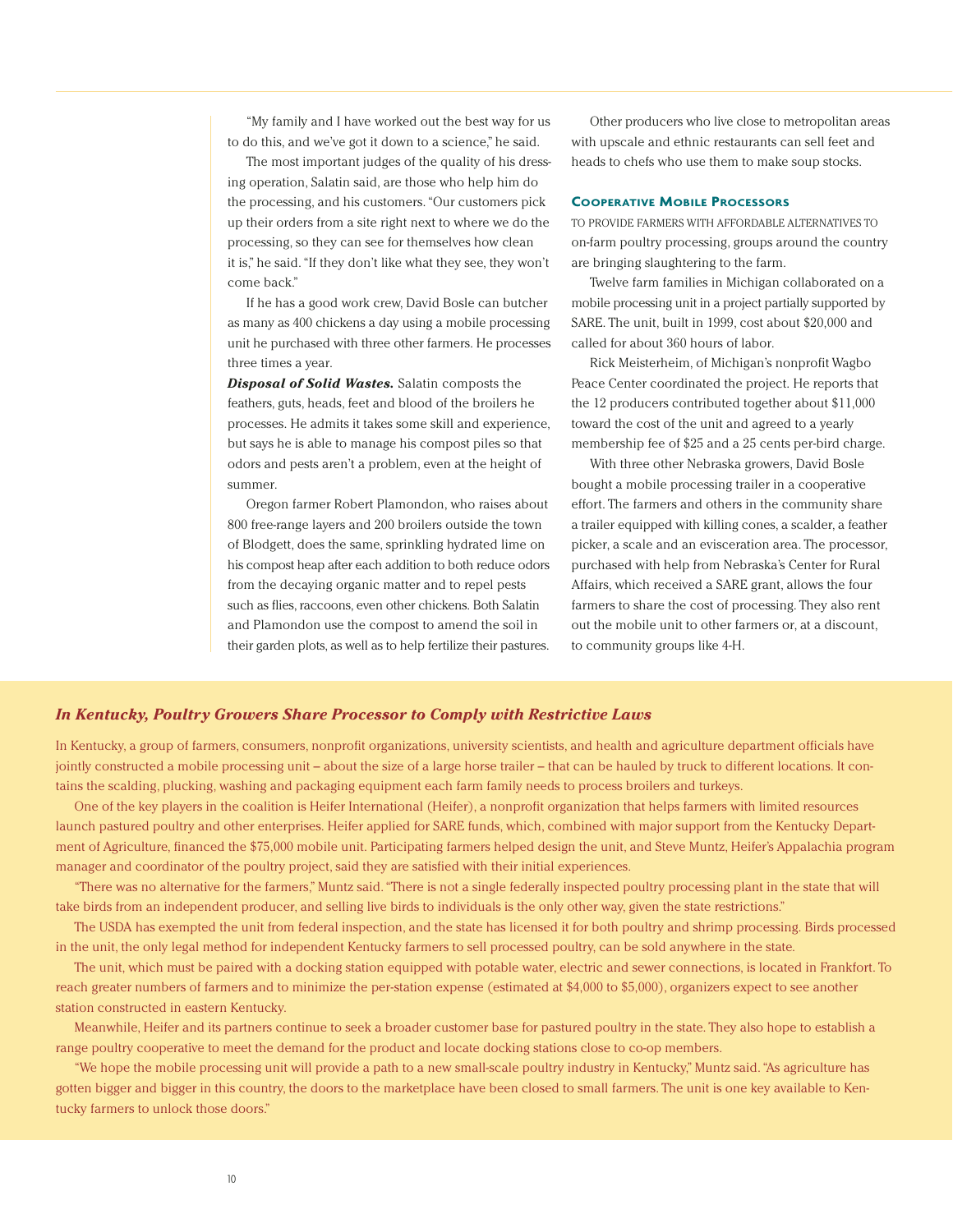"My family and I have worked out the best way for us to do this, and we've got it down to a science," he said.

The most important judges of the quality of his dressing operation, Salatin said, are those who help him do the processing, and his customers. "Our customers pick up their orders from a site right next to where we do the processing, so they can see for themselves how clean it is," he said. "If they don't like what they see, they won't come back."

If he has a good work crew, David Bosle can butcher as many as 400 chickens a day using a mobile processing unit he purchased with three other farmers. He processes three times a year.

*Disposal of Solid Wastes.* Salatin composts the feathers, guts, heads, feet and blood of the broilers he processes. He admits it takes some skill and experience, but says he is able to manage his compost piles so that odors and pests aren't a problem, even at the height of summer.

Oregon farmer Robert Plamondon, who raises about 800 free-range layers and 200 broilers outside the town of Blodgett, does the same, sprinkling hydrated lime on his compost heap after each addition to both reduce odors from the decaying organic matter and to repel pests such as flies, raccoons, even other chickens. Both Salatin and Plamondon use the compost to amend the soil in their garden plots, as well as to help fertilize their pastures.

Other producers who live close to metropolitan areas with upscale and ethnic restaurants can sell feet and heads to chefs who use them to make soup stocks.

#### **COOPERATIVE MOBILE PROCESSORS**

TO PROVIDE FARMERS WITH AFFORDABLE ALTERNATIVES TO on-farm poultry processing, groups around the country are bringing slaughtering to the farm.

Twelve farm families in Michigan collaborated on a mobile processing unit in a project partially supported by SARE. The unit, built in 1999, cost about \$20,000 and called for about 360 hours of labor.

Rick Meisterheim, of Michigan's nonprofit Wagbo Peace Center coordinated the project. He reports that the 12 producers contributed together about \$11,000 toward the cost of the unit and agreed to a yearly membership fee of \$25 and a 25 cents per-bird charge.

With three other Nebraska growers, David Bosle bought a mobile processing trailer in a cooperative effort. The farmers and others in the community share a trailer equipped with killing cones, a scalder, a feather picker, a scale and an evisceration area. The processor, purchased with help from Nebraska's Center for Rural Affairs, which received a SARE grant, allows the four farmers to share the cost of processing. They also rent out the mobile unit to other farmers or, at a discount, to community groups like 4-H.

#### *In Kentucky, Poultry Growers Share Processor to Comply with Restrictive Laws*

In Kentucky, a group of farmers, consumers, nonprofit organizations, university scientists, and health and agriculture department officials have jointly constructed a mobile processing unit – about the size of a large horse trailer – that can be hauled by truck to different locations. It contains the scalding, plucking, washing and packaging equipment each farm family needs to process broilers and turkeys.

One of the key players in the coalition is Heifer International (Heifer), a nonprofit organization that helps farmers with limited resources launch pastured poultry and other enterprises. Heifer applied for SARE funds, which, combined with major support from the Kentucky Department of Agriculture, financed the \$75,000 mobile unit. Participating farmers helped design the unit, and Steve Muntz, Heifer's Appalachia program manager and coordinator of the poultry project, said they are satisfied with their initial experiences.

"There was no alternative for the farmers," Muntz said. "There is not a single federally inspected poultry processing plant in the state that will take birds from an independent producer, and selling live birds to individuals is the only other way, given the state restrictions."

The USDA has exempted the unit from federal inspection, and the state has licensed it for both poultry and shrimp processing. Birds processed in the unit, the only legal method for independent Kentucky farmers to sell processed poultry, can be sold anywhere in the state.

The unit, which must be paired with a docking station equipped with potable water, electric and sewer connections, is located in Frankfort. To reach greater numbers of farmers and to minimize the per-station expense (estimated at \$4,000 to \$5,000), organizers expect to see another station constructed in eastern Kentucky.

Meanwhile, Heifer and its partners continue to seek a broader customer base for pastured poultry in the state. They also hope to establish a range poultry cooperative to meet the demand for the product and locate docking stations close to co-op members.

"We hope the mobile processing unit will provide a path to a new small-scale poultry industry in Kentucky," Muntz said. "As agriculture has gotten bigger and bigger in this country, the doors to the marketplace have been closed to small farmers. The unit is one key available to Kentucky farmers to unlock those doors."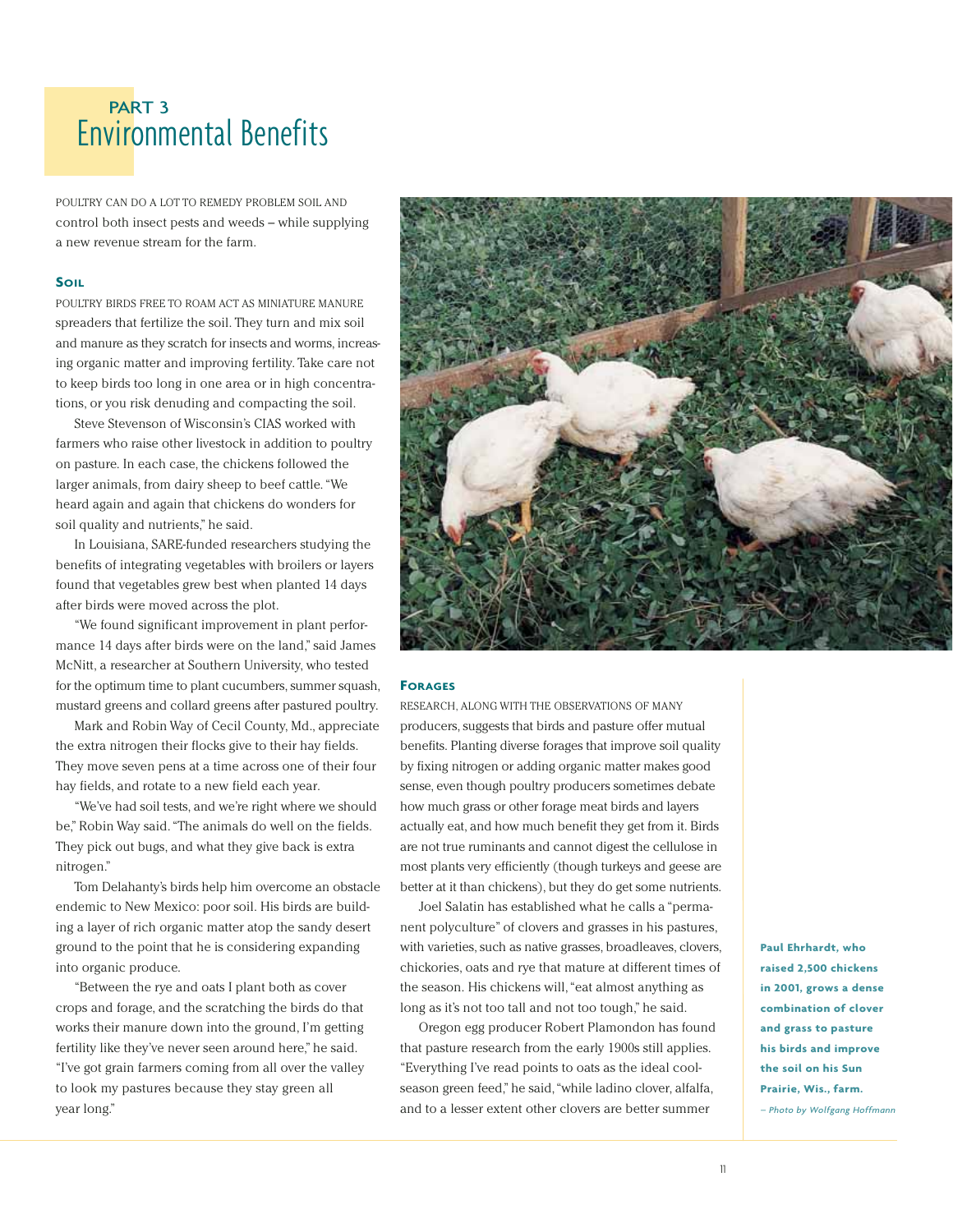## Environmental Benefits PART 3

POULTRY CAN DO A LOT TO REMEDY PROBLEM SOIL AND control both insect pests and weeds – while supplying a new revenue stream for the farm.

#### **SOIL**

POULTRY BIRDS FREE TO ROAM ACT AS MINIATURE MANURE spreaders that fertilize the soil. They turn and mix soil and manure as they scratch for insects and worms, increasing organic matter and improving fertility. Take care not to keep birds too long in one area or in high concentrations, or you risk denuding and compacting the soil.

Steve Stevenson of Wisconsin's CIAS worked with farmers who raise other livestock in addition to poultry on pasture. In each case, the chickens followed the larger animals, from dairy sheep to beef cattle. "We heard again and again that chickens do wonders for soil quality and nutrients," he said.

In Louisiana, SARE-funded researchers studying the benefits of integrating vegetables with broilers or layers found that vegetables grew best when planted 14 days after birds were moved across the plot.

"We found significant improvement in plant performance 14 days after birds were on the land," said James McNitt, a researcher at Southern University, who tested for the optimum time to plant cucumbers, summer squash, mustard greens and collard greens after pastured poultry.

Mark and Robin Way of Cecil County, Md., appreciate the extra nitrogen their flocks give to their hay fields. They move seven pens at a time across one of their four hay fields, and rotate to a new field each year.

"We've had soil tests, and we're right where we should be," Robin Way said. "The animals do well on the fields. They pick out bugs, and what they give back is extra nitrogen."

Tom Delahanty's birds help him overcome an obstacle endemic to New Mexico: poor soil. His birds are building a layer of rich organic matter atop the sandy desert ground to the point that he is considering expanding into organic produce.

"Between the rye and oats I plant both as cover crops and forage, and the scratching the birds do that works their manure down into the ground, I'm getting fertility like they've never seen around here," he said. "I've got grain farmers coming from all over the valley to look my pastures because they stay green all year long."



#### **FORAGES**

RESEARCH, ALONG WITH THE OBSERVATIONS OF MANY producers, suggests that birds and pasture offer mutual benefits. Planting diverse forages that improve soil quality by fixing nitrogen or adding organic matter makes good sense, even though poultry producers sometimes debate how much grass or other forage meat birds and layers actually eat, and how much benefit they get from it. Birds are not true ruminants and cannot digest the cellulose in most plants very efficiently (though turkeys and geese are better at it than chickens), but they do get some nutrients.

Joel Salatin has established what he calls a "permanent polyculture" of clovers and grasses in his pastures, with varieties, such as native grasses, broadleaves, clovers, chickories, oats and rye that mature at different times of the season. His chickens will, "eat almost anything as long as it's not too tall and not too tough," he said.

Oregon egg producer Robert Plamondon has found that pasture research from the early 1900s still applies. "Everything I've read points to oats as the ideal coolseason green feed," he said, "while ladino clover, alfalfa, and to a lesser extent other clovers are better summer

**Paul Ehrhardt, who raised 2,500 chickens in 2001, grows a dense combination of clover and grass to pasture his birds and improve the soil on his Sun Prairie, Wis., farm.**  *– Photo by Wolfgang Hoffmann*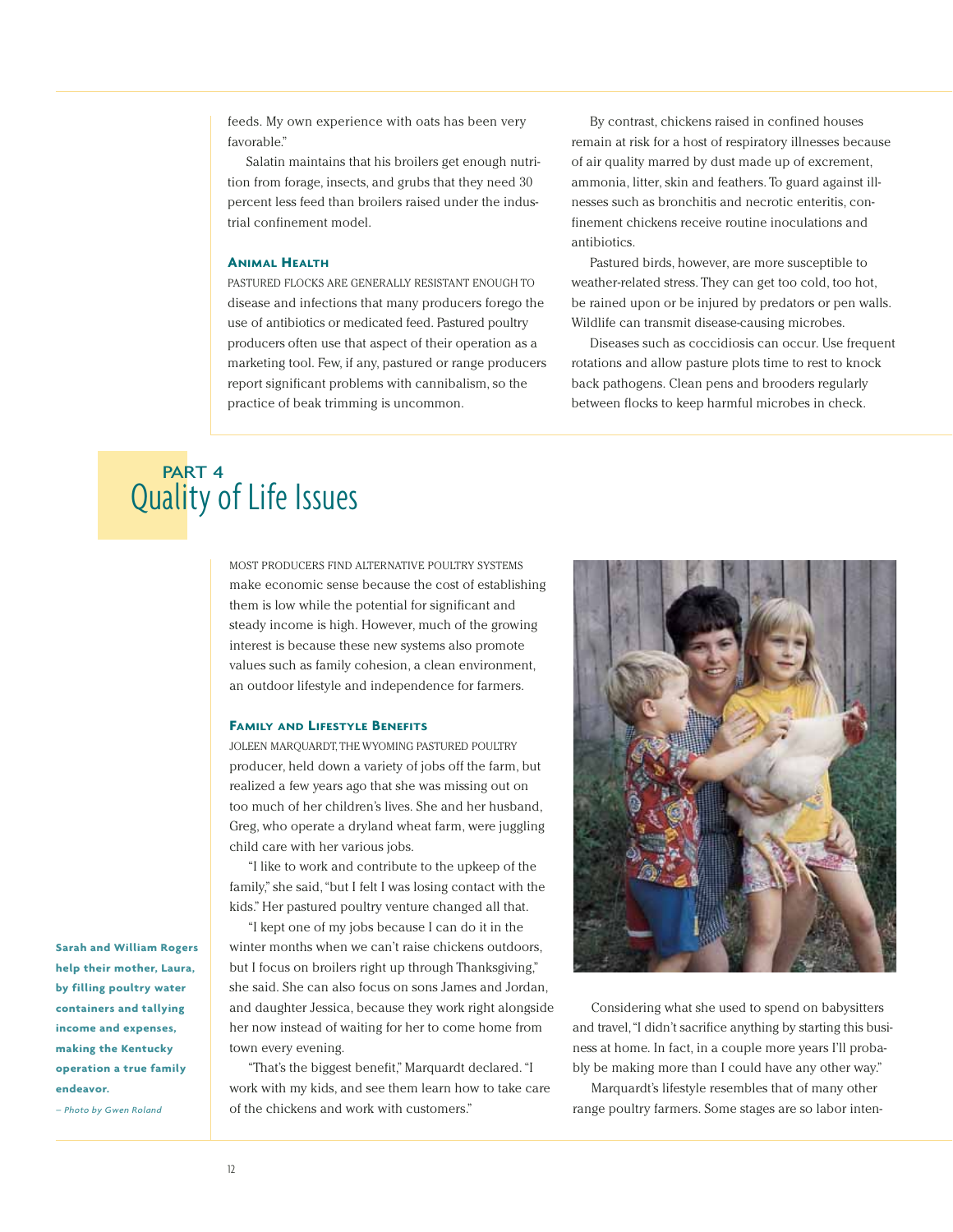feeds. My own experience with oats has been very favorable"

Salatin maintains that his broilers get enough nutrition from forage, insects, and grubs that they need 30 percent less feed than broilers raised under the industrial confinement model.

#### **ANIMAL HEALTH**

PASTURED FLOCKS ARE GENERALLY RESISTANT ENOUGH TO disease and infections that many producers forego the use of antibiotics or medicated feed. Pastured poultry producers often use that aspect of their operation as a marketing tool. Few, if any, pastured or range producers report significant problems with cannibalism, so the practice of beak trimming is uncommon.

By contrast, chickens raised in confined houses remain at risk for a host of respiratory illnesses because of air quality marred by dust made up of excrement, ammonia, litter, skin and feathers. To guard against illnesses such as bronchitis and necrotic enteritis, confinement chickens receive routine inoculations and antibiotics.

Pastured birds, however, are more susceptible to weather-related stress. They can get too cold, too hot, be rained upon or be injured by predators or pen walls. Wildlife can transmit disease-causing microbes.

Diseases such as coccidiosis can occur. Use frequent rotations and allow pasture plots time to rest to knock back pathogens. Clean pens and brooders regularly between flocks to keep harmful microbes in check.

### Quality of Life Issues PART 4

MOST PRODUCERS FIND ALTERNATIVE POULTRY SYSTEMS make economic sense because the cost of establishing them is low while the potential for significant and steady income is high. However, much of the growing interest is because these new systems also promote values such as family cohesion, a clean environment, an outdoor lifestyle and independence for farmers.

#### **FAMILY AND LIFESTYLE BENEFITS**

JOLEEN MARQUARDT, THE WYOMING PASTURED POULTRY producer, held down a variety of jobs off the farm, but realized a few years ago that she was missing out on too much of her children's lives. She and her husband, Greg, who operate a dryland wheat farm, were juggling child care with her various jobs.

"I like to work and contribute to the upkeep of the family," she said,"but I felt I was losing contact with the kids." Her pastured poultry venture changed all that.

"I kept one of my jobs because I can do it in the winter months when we can't raise chickens outdoors, but I focus on broilers right up through Thanksgiving," she said. She can also focus on sons James and Jordan, and daughter Jessica, because they work right alongside her now instead of waiting for her to come home from town every evening.

"That's the biggest benefit," Marquardt declared. "I work with my kids, and see them learn how to take care of the chickens and work with customers."



Considering what she used to spend on babysitters and travel,"I didn't sacrifice anything by starting this business at home. In fact, in a couple more years I'll probably be making more than I could have any other way."

Marquardt's lifestyle resembles that of many other range poultry farmers. Some stages are so labor inten-

**Sarah and William Rogers help their mother, Laura, by filling poultry water containers and tallying income and expenses, making the Kentucky operation a true family endeavor.** 

*– Photo by Gwen Roland*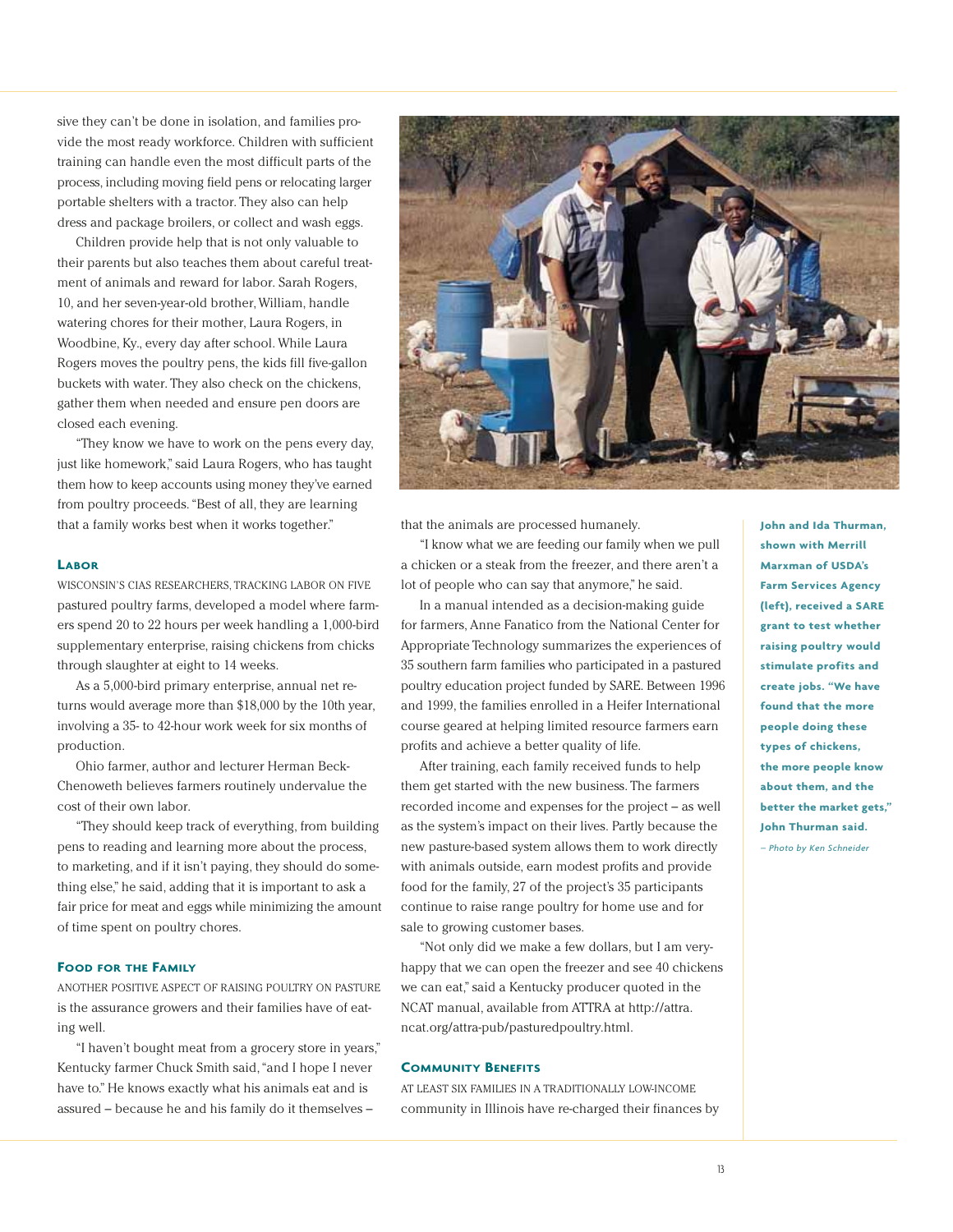sive they can't be done in isolation, and families provide the most ready workforce. Children with sufficient training can handle even the most difficult parts of the process, including moving field pens or relocating larger portable shelters with a tractor. They also can help dress and package broilers, or collect and wash eggs.

Children provide help that is not only valuable to their parents but also teaches them about careful treatment of animals and reward for labor. Sarah Rogers, 10, and her seven-year-old brother, William, handle watering chores for their mother, Laura Rogers, in Woodbine, Ky., every day after school. While Laura Rogers moves the poultry pens, the kids fill five-gallon buckets with water. They also check on the chickens, gather them when needed and ensure pen doors are closed each evening.

"They know we have to work on the pens every day, just like homework," said Laura Rogers, who has taught them how to keep accounts using money they've earned from poultry proceeds. "Best of all, they are learning that a family works best when it works together."

#### **LABOR**

WISCONSIN'S CIAS RESEARCHERS, TRACKING LABOR ON FIVE pastured poultry farms, developed a model where farmers spend 20 to 22 hours per week handling a 1,000-bird supplementary enterprise, raising chickens from chicks through slaughter at eight to 14 weeks.

As a 5,000-bird primary enterprise, annual net returns would average more than \$18,000 by the 10th year, involving a 35- to 42-hour work week for six months of production.

Ohio farmer, author and lecturer Herman Beck-Chenoweth believes farmers routinely undervalue the cost of their own labor.

"They should keep track of everything, from building pens to reading and learning more about the process, to marketing, and if it isn't paying, they should do something else," he said, adding that it is important to ask a fair price for meat and eggs while minimizing the amount of time spent on poultry chores.

#### **FOOD FOR THE FAMILY**

ANOTHER POSITIVE ASPECT OF RAISING POULTRY ON PASTURE is the assurance growers and their families have of eating well.

"I haven't bought meat from a grocery store in years," Kentucky farmer Chuck Smith said,"and I hope I never have to." He knows exactly what his animals eat and is assured – because he and his family do it themselves –



that the animals are processed humanely.

"I know what we are feeding our family when we pull a chicken or a steak from the freezer, and there aren't a lot of people who can say that anymore," he said.

In a manual intended as a decision-making guide for farmers, Anne Fanatico from the National Center for Appropriate Technology summarizes the experiences of 35 southern farm families who participated in a pastured poultry education project funded by SARE. Between 1996 and 1999, the families enrolled in a Heifer International course geared at helping limited resource farmers earn profits and achieve a better quality of life.

After training, each family received funds to help them get started with the new business. The farmers recorded income and expenses for the project – as well as the system's impact on their lives. Partly because the new pasture-based system allows them to work directly with animals outside, earn modest profits and provide food for the family, 27 of the project's 35 participants continue to raise range poultry for home use and for sale to growing customer bases.

"Not only did we make a few dollars, but I am veryhappy that we can open the freezer and see 40 chickens we can eat," said a Kentucky producer quoted in the NCAT manual, available from ATTRA at http://attra. ncat.org/attra-pub/pasturedpoultry.html.

#### **COMMUNITY BENEFITS**

AT LEAST SIX FAMILIES IN A TRADITIONALLY LOW-INCOME community in Illinois have re-charged their finances by **John and Ida Thurman, shown with Merrill Marxman of USDA's Farm Services Agency (left), received a SARE grant to test whether raising poultry would stimulate profits and create jobs. "We have found that the more people doing these types of chickens, the more people know about them, and the better the market gets," John Thurman said.**  *– Photo by Ken Schneider*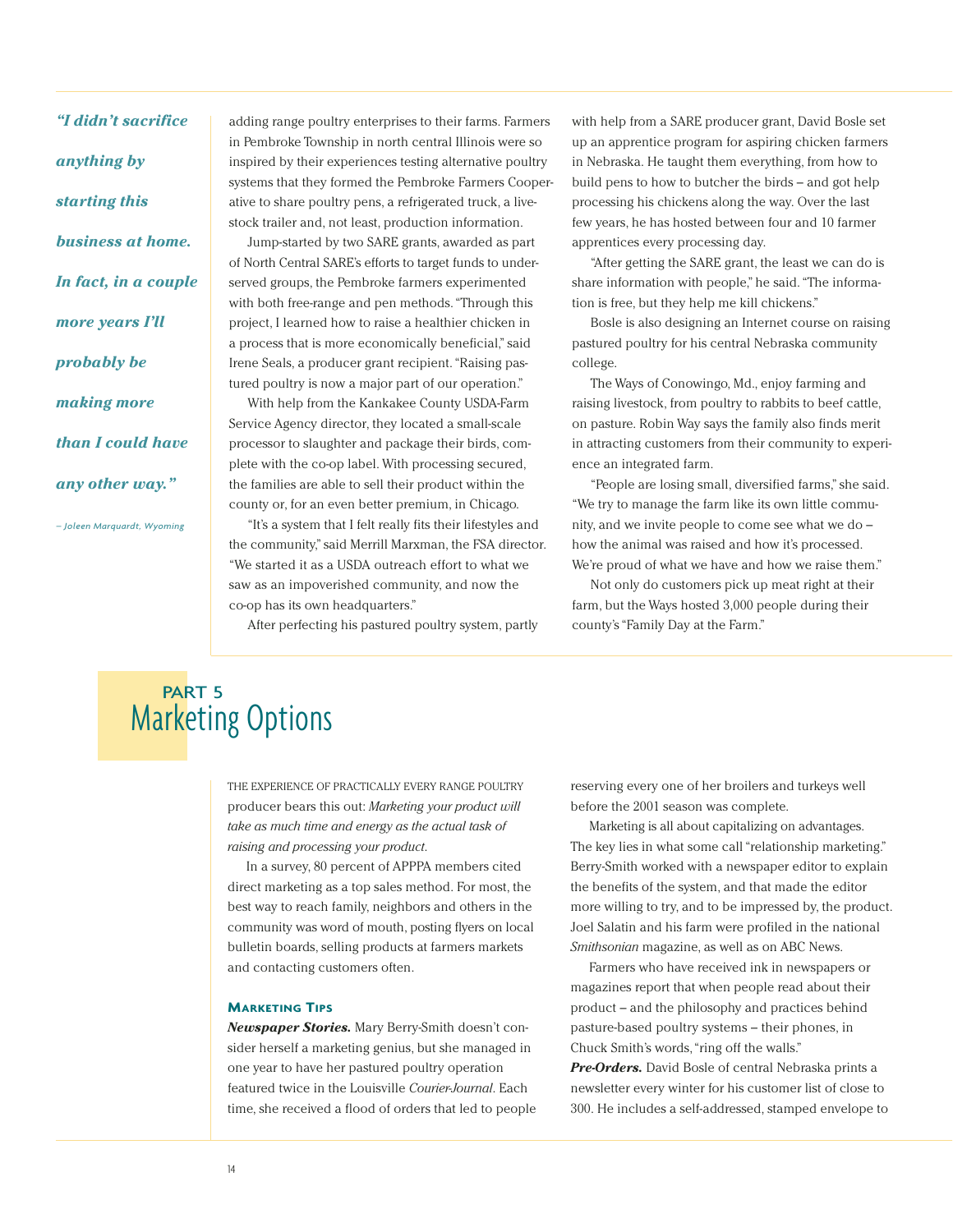*"I didn't sacrifice anything by starting this business at home. In fact, in a couple more years I'll probably be making more than I could have any other way."*

*– Joleen Marquardt, Wyoming*

adding range poultry enterprises to their farms. Farmers in Pembroke Township in north central Illinois were so inspired by their experiences testing alternative poultry systems that they formed the Pembroke Farmers Cooperative to share poultry pens, a refrigerated truck, a livestock trailer and, not least, production information.

Jump-started by two SARE grants, awarded as part of North Central SARE's efforts to target funds to underserved groups, the Pembroke farmers experimented with both free-range and pen methods. "Through this project, I learned how to raise a healthier chicken in a process that is more economically beneficial," said Irene Seals, a producer grant recipient. "Raising pastured poultry is now a major part of our operation."

With help from the Kankakee County USDA-Farm Service Agency director, they located a small-scale processor to slaughter and package their birds, complete with the co-op label. With processing secured, the families are able to sell their product within the county or, for an even better premium, in Chicago.

"It's a system that I felt really fits their lifestyles and the community," said Merrill Marxman, the FSA director. "We started it as a USDA outreach effort to what we saw as an impoverished community, and now the co-op has its own headquarters."

After perfecting his pastured poultry system, partly

with help from a SARE producer grant, David Bosle set up an apprentice program for aspiring chicken farmers in Nebraska. He taught them everything, from how to build pens to how to butcher the birds – and got help processing his chickens along the way. Over the last few years, he has hosted between four and 10 farmer apprentices every processing day.

"After getting the SARE grant, the least we can do is share information with people," he said. "The information is free, but they help me kill chickens."

Bosle is also designing an Internet course on raising pastured poultry for his central Nebraska community college.

The Ways of Conowingo, Md., enjoy farming and raising livestock, from poultry to rabbits to beef cattle, on pasture. Robin Way says the family also finds merit in attracting customers from their community to experience an integrated farm.

"People are losing small, diversified farms," she said. "We try to manage the farm like its own little community, and we invite people to come see what we do – how the animal was raised and how it's processed. We're proud of what we have and how we raise them."

Not only do customers pick up meat right at their farm, but the Ways hosted 3,000 people during their county's "Family Day at the Farm."

## **Marketing Options** PART<sub>5</sub>

THE EXPERIENCE OF PRACTICALLY EVERY RANGE POULTRY producer bears this out: *Marketing your product will take as much time and energy as the actual task of raising and processing your product*.

In a survey, 80 percent of APPPA members cited direct marketing as a top sales method. For most, the best way to reach family, neighbors and others in the community was word of mouth, posting flyers on local bulletin boards, selling products at farmers markets and contacting customers often.

#### **MARKETING TIPS**

*Newspaper Stories.* Mary Berry-Smith doesn't consider herself a marketing genius, but she managed in one year to have her pastured poultry operation featured twice in the Louisville *Courier-Journal*. Each time, she received a flood of orders that led to people reserving every one of her broilers and turkeys well before the 2001 season was complete.

Marketing is all about capitalizing on advantages. The key lies in what some call "relationship marketing." Berry-Smith worked with a newspaper editor to explain the benefits of the system, and that made the editor more willing to try, and to be impressed by, the product. Joel Salatin and his farm were profiled in the national *Smithsonian* magazine, as well as on ABC News.

Farmers who have received ink in newspapers or magazines report that when people read about their product – and the philosophy and practices behind pasture-based poultry systems – their phones, in Chuck Smith's words,"ring off the walls."

*Pre-Orders.* David Bosle of central Nebraska prints a newsletter every winter for his customer list of close to 300. He includes a self-addressed, stamped envelope to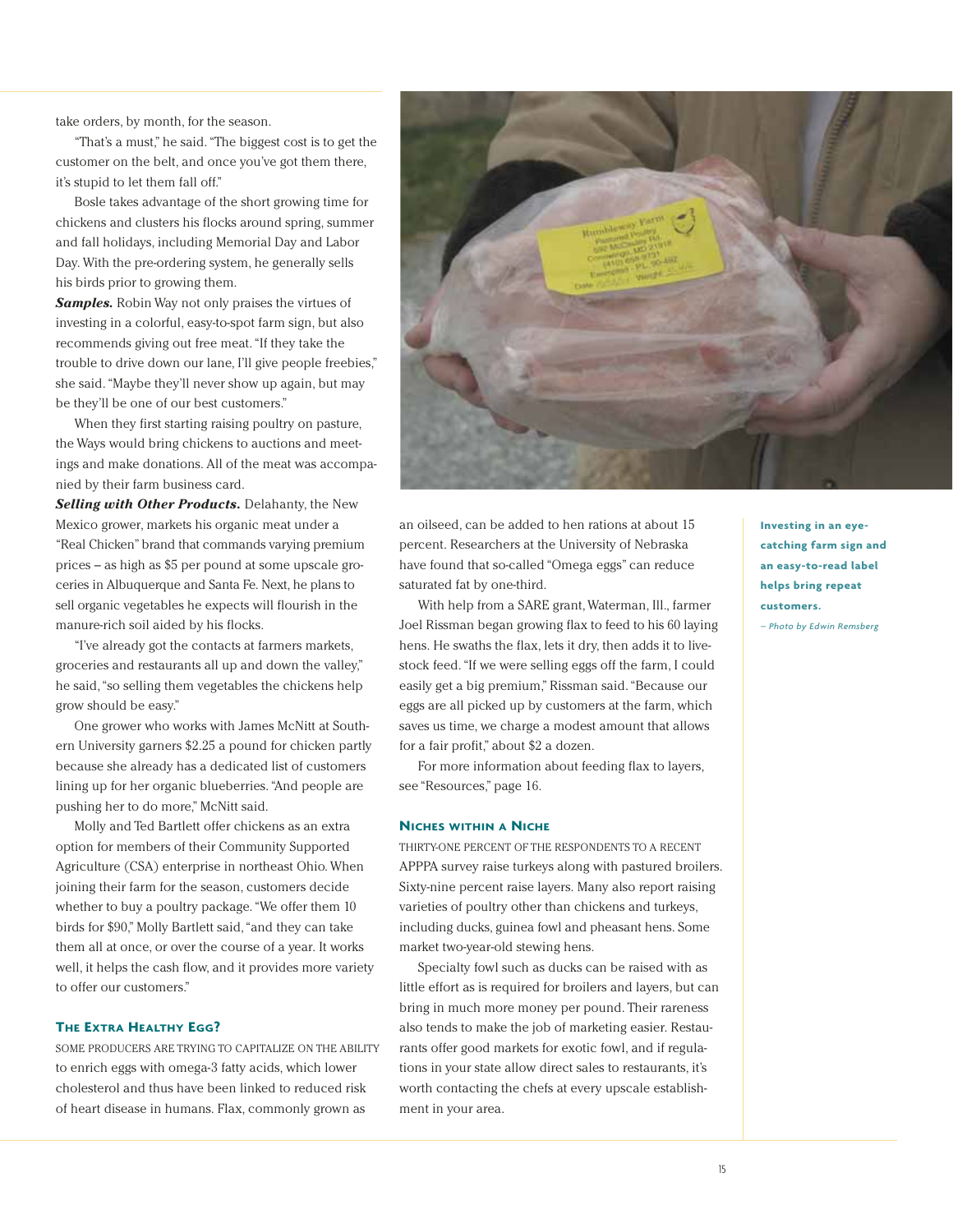take orders, by month, for the season.

"That's a must," he said. "The biggest cost is to get the customer on the belt, and once you've got them there, it's stupid to let them fall off."

Bosle takes advantage of the short growing time for chickens and clusters his flocks around spring, summer and fall holidays, including Memorial Day and Labor Day. With the pre-ordering system, he generally sells his birds prior to growing them.

*Samples.* Robin Way not only praises the virtues of investing in a colorful, easy-to-spot farm sign, but also recommends giving out free meat. "If they take the trouble to drive down our lane, I'll give people freebies," she said. "Maybe they'll never show up again, but may be they'll be one of our best customers."

When they first starting raising poultry on pasture, the Ways would bring chickens to auctions and meetings and make donations. All of the meat was accompanied by their farm business card.

*Selling with Other Products.* Delahanty, the New Mexico grower, markets his organic meat under a "Real Chicken" brand that commands varying premium prices – as high as \$5 per pound at some upscale groceries in Albuquerque and Santa Fe. Next, he plans to sell organic vegetables he expects will flourish in the manure-rich soil aided by his flocks.

"I've already got the contacts at farmers markets, groceries and restaurants all up and down the valley," he said,"so selling them vegetables the chickens help grow should be easy."

One grower who works with James McNitt at Southern University garners \$2.25 a pound for chicken partly because she already has a dedicated list of customers lining up for her organic blueberries. "And people are pushing her to do more," McNitt said.

Molly and Ted Bartlett offer chickens as an extra option for members of their Community Supported Agriculture (CSA) enterprise in northeast Ohio. When joining their farm for the season, customers decide whether to buy a poultry package. "We offer them 10 birds for \$90," Molly Bartlett said,"and they can take them all at once, or over the course of a year. It works well, it helps the cash flow, and it provides more variety to offer our customers."

#### **THE EXTRA HEALTHY EGG?**

SOME PRODUCERS ARE TRYING TO CAPITALIZE ON THE ABILITY to enrich eggs with omega-3 fatty acids, which lower cholesterol and thus have been linked to reduced risk of heart disease in humans. Flax, commonly grown as



an oilseed, can be added to hen rations at about 15 percent. Researchers at the University of Nebraska have found that so-called "Omega eggs" can reduce saturated fat by one-third.

With help from a SARE grant, Waterman, Ill., farmer Joel Rissman began growing flax to feed to his 60 laying hens. He swaths the flax, lets it dry, then adds it to livestock feed. "If we were selling eggs off the farm, I could easily get a big premium," Rissman said. "Because our eggs are all picked up by customers at the farm, which saves us time, we charge a modest amount that allows for a fair profit," about \$2 a dozen.

For more information about feeding flax to layers, see "Resources," page 16.

#### **NICHES WITHIN A NICHE**

THIRTY-ONE PERCENT OF THE RESPONDENTS TO A RECENT APPPA survey raise turkeys along with pastured broilers. Sixty-nine percent raise layers. Many also report raising varieties of poultry other than chickens and turkeys, including ducks, guinea fowl and pheasant hens. Some market two-year-old stewing hens.

Specialty fowl such as ducks can be raised with as little effort as is required for broilers and layers, but can bring in much more money per pound. Their rareness also tends to make the job of marketing easier. Restaurants offer good markets for exotic fowl, and if regulations in your state allow direct sales to restaurants, it's worth contacting the chefs at every upscale establishment in your area.

**Investing in an eyecatching farm sign and an easy-to-read label helps bring repeat customers.** 

*– Photo by Edwin Remsberg*